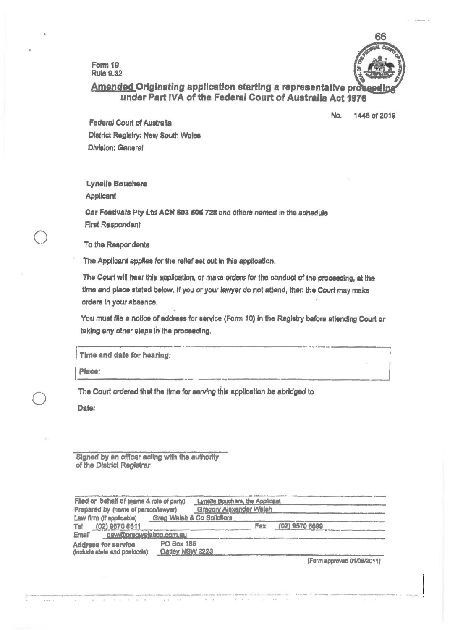Form 19 **Rule 9.32** 



# Amended Originating application starting a representative proses under Part IVA of the Federal Court of Australia Act 1976

No. 1446 of 2019

Federal Court of Australia District Registry: New South Wales Division: General

Lynelle Bouchere

Applicant

Car Festivals Pty Ltd ACN 603 505 728 and others named in the schedule **First Respondent** 

To the Respondents

The Applicant applies for the relief set out in this application.

The Court will hear this application, or make orders for the conduct of the proceeding, at the time and place stated below. If you or your lawyer do not attend, then the Court may make orders in your absence.

You must file a notice of address for service (Form 10) in the Registry before attending Court or taking any other steps in the proceeding.

Time and date for hearing:

Place:

The Court ordered that the time for serving this application be abridged to

Date:

Signed by an officer acting with the authority of the District Registrar

| Filed on behalf of (name & role of party)                  |                               | Lynelle Bouchare, the Applicant |     |  |                |  |  |
|------------------------------------------------------------|-------------------------------|---------------------------------|-----|--|----------------|--|--|
| Prepared by (name of person/lawyer)                        | Gragory Alexander Walsh       |                                 |     |  |                |  |  |
| Law firm (if applicable)                                   |                               | Greg Walsh & Co Solicitors      |     |  |                |  |  |
| Tel<br>(02) 9570 6511                                      |                               |                                 | Fax |  | (02) 9570 6699 |  |  |
| gaw@gregwalshco.com.au<br>Email                            |                               |                                 |     |  |                |  |  |
| <b>Address for service</b><br>(include state and postcode) | PO Box 185<br>Oatley NSW 2223 |                                 |     |  |                |  |  |
|                                                            |                               |                                 |     |  |                |  |  |

[Form approved 01/08/2011]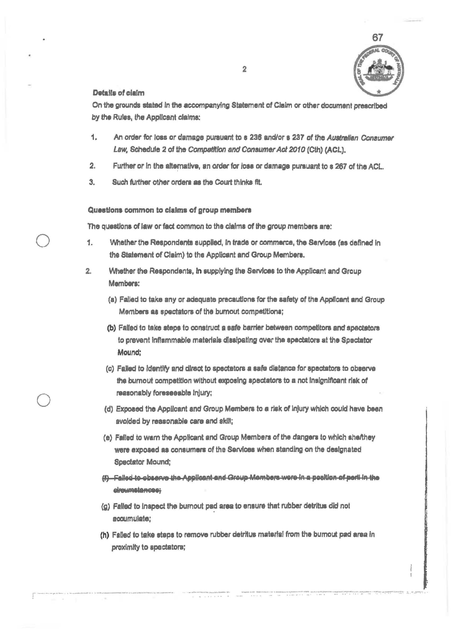

#### Details of claim

On the grounds stated in the accompanying Statement of Claim or other document prescribed by the Rules, the Applicant claims;

- $1.$ An order for loss or damage pursuant to s 236 and/or s 237 of the Australian Consumer Law, Schedule 2 of the Competition and Consumer Act 2010 (Cth) (ACL),
- $2.$ Further or in the alternative, an order for loss or damage pursuant to s 267 of the ACL.
- Such further other orders as the Court thinks fit.  $3.$

### Questions common to claims of group members

The questions of law or fact common to the claims of the group members are:

- 1. Whether the Respondents supplied, In trade or commerce, the Sarvices (as defined in the Statement of Claim) to the Applicant and Group Members.
- $2.$ Whether the Respondents, in supplying the Services to the Applicant and Group Members:
	- (a) Failed to take any or adequate precautions for the safety of the Applicant and Group Members as spectators of the burnout competitions;
	- (b) Failed to take steps to construct a safe barrier between competitors and spactators to prevent inflammable materials dissipating over the spectators at the Spectator Mound:
	- (c) Failed to identify and direct to spectators a safe distance for spectators to observe the burnout competition without exposing spectators to a not insignificant risk of reasonably foreseeable injury;
	- (d) Exposed the Applicant and Group Members to a risk of injury which could have been avoided by reasonable care and akili;
	- (e) Failed to warn the Applicant and Group Members of the dangers to which shefthey were exposed as consumers of the Services when standing on the designated **Speciator Mound;**
	- (f) Falled to observe the Applicant and Group Members were in a position of peril in the elreumstances;
	- (g) Falled to inspect the burnout pad area to ensure that rubber detritus did not acoumulate;
	- (h) Falled to take steps to remove rubber detritus material from the burnout pad area in proximity to spectators;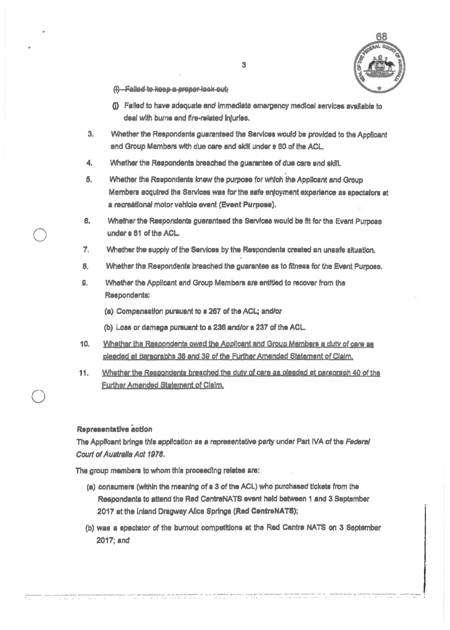

- (i) Falled to keep a proper look out;
- (i) Falled to have adequate and immediate emergency medical services available to deal with burns and fire-related injuries.
- 3. Whether the Respondents guaranteed the Services would be provided to the Applicant and Group Members with due care and skill under s 60 of the ACL.
- 4. Whether the Respondents breached the guarantee of due care and skill.
- Whether the Respondents knew the purpose for which the Applicant and Group Б. Members acquired the Services was for the safe enloyment experience as spectators at a recreational motor vahicle event (Event Purpose).
- 6. Whether the Respondents guaranteed the Services would be fit for the Event Purpose under s 61 of the ACL.
- $\mathcal{L}$ Whether the supply of the Services by the Respondents created an unsafe situation.
- **B.** Whether the Respondents breached the guarantee as to fitness for the Event Purpose.
- Я. Whether the Applicant and Group Members are entitled to recover from the Respondents:
	- (a) Compensation pursuant to a 267 of the ACL; and/or
	- (b) Loss or damage pursuant to s 236 and/or s 237 of the ACL.
- $10.$ Whather the Respondents owed the Applicant and Group Members a duty of care as pleaded at paragraphs 38 and 39 of the Further Amended Statement of Claim.
- Whether the Respondents breached the duty of care as pleaded at paragraph 40 of the 11. Further Amended Statement of Claim.

## Representative action

The Applicant brings this application as a representative party under Part IVA of the Federal Court of Australia Act 1978.

The group members to whom this proceeding relates are:

- (a) consumers (within the meaning of a 3 of the ACL) who purchased tickets from the Respondents to attend the Red CentreNATS event held between 1 and 3 September 2017 at the inland Dragway Alice Springs (Red CentreNATS);
- (b) was a spectator of the burnout competitions at the Red Centre NATS on 3 September 2017; and

 $\mathbf{r}_{\text{eff}}$  and on construction consequents. We have the communities approaches a party mass for the first state of the state of the state of the state of the state of the state of the state of the state of the state of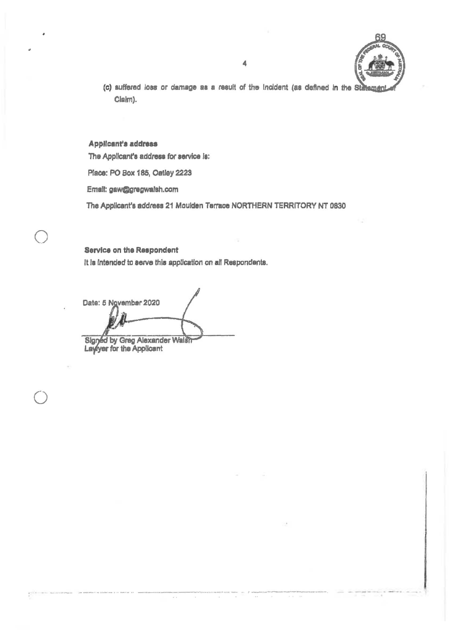- 
- (c) suffered loss or damage as a result of the Incident (as defined in the Statem Claim).

#### Applicant's address

The Applicant's address for service is:

Place: PO Box 185, Oatley 2223

Email: gaw@gregwalsh.com

The Applicant's address 21 Moulden Terrace NORTHERN TERRITORY NT 0830

Service on the Respondent It is intended to serve this application on all Respondents.

Date: 5 November 2020 Signed by Greg Alexander Walsh<br>Layyer for the Applicant